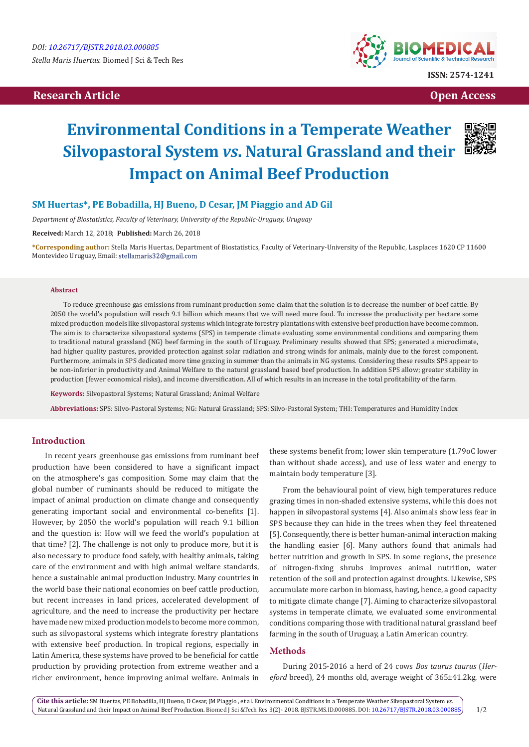# **Research Article Open Access Contract Article Open Access Open Access Open Access**



# **Environmental Conditions in a Temperate Weather Silvopastoral System** *vs***. Natural Grassland and their Impact on Animal Beef Production**



## **SM Huertas\*, PE Bobadilla, HJ Bueno, D Cesar, JM Piaggio and AD Gil**

*Department of Biostatistics, Faculty of Veterinary, University of the Republic-Uruguay, Uruguay*

**Received:** March 12, 2018; **Published:** March 26, 2018

**\*Corresponding author:** Stella Maris Huertas, Department of Biostatistics, Faculty of Veterinary-University of the Republic, Lasplaces 1620 CP 11600 Montevideo Uruguay, Email: stellamaris32@gmail.com

#### **Abstract**

To reduce greenhouse gas emissions from ruminant production some claim that the solution is to decrease the number of beef cattle. By 2050 the world's population will reach 9.1 billion which means that we will need more food. To increase the productivity per hectare some mixed production models like silvopastoral systems which integrate forestry plantations with extensive beef production have become common. The aim is to characterize silvopastoral systems (SPS) in temperate climate evaluating some environmental conditions and comparing them to traditional natural grassland (NG) beef farming in the south of Uruguay. Preliminary results showed that SPS; generated a microclimate, had higher quality pastures, provided protection against solar radiation and strong winds for animals, mainly due to the forest component. Furthermore, animals in SPS dedicated more time grazing in summer than the animals in NG systems. Considering these results SPS appear to be non-inferior in productivity and Animal Welfare to the natural grassland based beef production. In addition SPS allow; greater stability in production (fewer economical risks), and income diversification. All of which results in an increase in the total profitability of the farm.

**Keywords:** Silvopastoral Systems; Natural Grassland; Animal Welfare

**Abbreviations:** SPS: Silvo-Pastoral Systems; NG: Natural Grassland; SPS: Silvo-Pastoral System; THI: Temperatures and Humidity Index

## **Introduction**

In recent years greenhouse gas emissions from ruminant beef production have been considered to have a significant impact on the atmosphere's gas composition. Some may claim that the global number of ruminants should be reduced to mitigate the impact of animal production on climate change and consequently generating important social and environmental co-benefits [1]. However, by 2050 the world's population will reach 9.1 billion and the question is: How will we feed the world's population at that time? [2]. The challenge is not only to produce more, but it is also necessary to produce food safely, with healthy animals, taking care of the environment and with high animal welfare standards, hence a sustainable animal production industry. Many countries in the world base their national economies on beef cattle production, but recent increases in land prices, accelerated development of agriculture, and the need to increase the productivity per hectare have made new mixed production models to become more common, such as silvopastoral systems which integrate forestry plantations with extensive beef production. In tropical regions, especially in Latin America, these systems have proved to be beneficial for cattle production by providing protection from extreme weather and a richer environment, hence improving animal welfare. Animals in

these systems benefit from; lower skin temperature (1.79oC lower than without shade access), and use of less water and energy to maintain body temperature [3].

From the behavioural point of view, high temperatures reduce grazing times in non-shaded extensive systems, while this does not happen in silvopastoral systems [4]. Also animals show less fear in SPS because they can hide in the trees when they feel threatened [5]. Consequently, there is better human-animal interaction making the handling easier [6]. Many authors found that animals had better nutrition and growth in SPS. In some regions, the presence of nitrogen-fixing shrubs improves animal nutrition, water retention of the soil and protection against droughts. Likewise, SPS accumulate more carbon in biomass, having, hence, a good capacity to mitigate climate change [7]. Aiming to characterize silvopastoral systems in temperate climate, we evaluated some environmental conditions comparing those with traditional natural grassland beef farming in the south of Uruguay, a Latin American country.

### **Methods**

During 2015-2016 a herd of 24 cows *Bos taurus taurus* (*Hereford* breed), 24 months old, average weight of 365±41.2kg. were